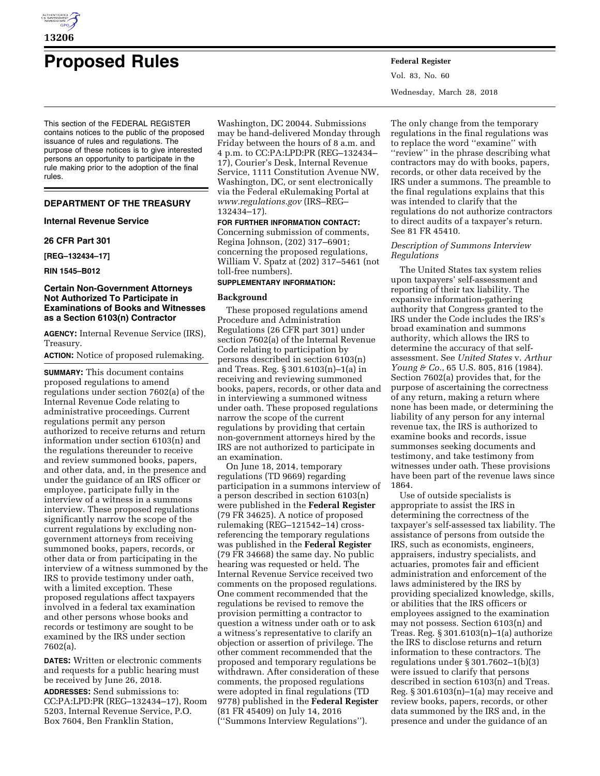

# **Proposed Rules Federal Register**

This section of the FEDERAL REGISTER contains notices to the public of the proposed issuance of rules and regulations. The purpose of these notices is to give interested persons an opportunity to participate in the rule making prior to the adoption of the final rules.

# **DEPARTMENT OF THE TREASURY**

## **Internal Revenue Service**

# **26 CFR Part 301**

**[REG–132434–17]** 

#### **RIN 1545–B012**

## **Certain Non-Government Attorneys Not Authorized To Participate in Examinations of Books and Witnesses as a Section 6103(n) Contractor**

**AGENCY:** Internal Revenue Service (IRS), Treasury.

#### **ACTION:** Notice of proposed rulemaking.

**SUMMARY:** This document contains proposed regulations to amend regulations under section 7602(a) of the Internal Revenue Code relating to administrative proceedings. Current regulations permit any person authorized to receive returns and return information under section 6103(n) and the regulations thereunder to receive and review summoned books, papers, and other data, and, in the presence and under the guidance of an IRS officer or employee, participate fully in the interview of a witness in a summons interview. These proposed regulations significantly narrow the scope of the current regulations by excluding nongovernment attorneys from receiving summoned books, papers, records, or other data or from participating in the interview of a witness summoned by the IRS to provide testimony under oath, with a limited exception. These proposed regulations affect taxpayers involved in a federal tax examination and other persons whose books and records or testimony are sought to be examined by the IRS under section 7602(a).

**DATES:** Written or electronic comments and requests for a public hearing must be received by June 26, 2018.

**ADDRESSES:** Send submissions to: CC:PA:LPD:PR (REG–132434–17), Room 5203, Internal Revenue Service, P.O. Box 7604, Ben Franklin Station,

Washington, DC 20044. Submissions may be hand-delivered Monday through Friday between the hours of 8 a.m. and 4 p.m. to CC:PA:LPD:PR (REG–132434– 17), Courier's Desk, Internal Revenue Service, 1111 Constitution Avenue NW, Washington, DC, or sent electronically via the Federal eRulemaking Portal at *[www.regulations.gov](http://www.regulations.gov)* (IRS–REG– 132434–17).

# **FOR FURTHER INFORMATION CONTACT:**

Concerning submission of comments, Regina Johnson, (202) 317–6901; concerning the proposed regulations, William V. Spatz at (202) 317–5461 (not toll-free numbers).

# **SUPPLEMENTARY INFORMATION:**

#### **Background**

These proposed regulations amend Procedure and Administration Regulations (26 CFR part 301) under section 7602(a) of the Internal Revenue Code relating to participation by persons described in section 6103(n) and Treas. Reg. § 301.6103(n)–1(a) in receiving and reviewing summoned books, papers, records, or other data and in interviewing a summoned witness under oath. These proposed regulations narrow the scope of the current regulations by providing that certain non-government attorneys hired by the IRS are not authorized to participate in an examination.

On June 18, 2014, temporary regulations (TD 9669) regarding participation in a summons interview of a person described in section 6103(n) were published in the **Federal Register**  (79 FR 34625). A notice of proposed rulemaking (REG–121542–14) crossreferencing the temporary regulations was published in the **Federal Register**  (79 FR 34668) the same day. No public hearing was requested or held. The Internal Revenue Service received two comments on the proposed regulations. One comment recommended that the regulations be revised to remove the provision permitting a contractor to question a witness under oath or to ask a witness's representative to clarify an objection or assertion of privilege. The other comment recommended that the proposed and temporary regulations be withdrawn. After consideration of these comments, the proposed regulations were adopted in final regulations (TD 9778) published in the **Federal Register**  (81 FR 45409) on July 14, 2016 (''Summons Interview Regulations'').

Vol. 83, No. 60 Wednesday, March 28, 2018

The only change from the temporary regulations in the final regulations was to replace the word ''examine'' with ''review'' in the phrase describing what contractors may do with books, papers, records, or other data received by the IRS under a summons. The preamble to the final regulations explains that this was intended to clarify that the regulations do not authorize contractors to direct audits of a taxpayer's return. See 81 FR 45410.

# *Description of Summons Interview Regulations*

The United States tax system relies upon taxpayers' self-assessment and reporting of their tax liability. The expansive information-gathering authority that Congress granted to the IRS under the Code includes the IRS's broad examination and summons authority, which allows the IRS to determine the accuracy of that selfassessment. See *United States* v. *Arthur Young & Co.*, 65 U.S. 805, 816 (1984). Section 7602(a) provides that, for the purpose of ascertaining the correctness of any return, making a return where none has been made, or determining the liability of any person for any internal revenue tax, the IRS is authorized to examine books and records, issue summonses seeking documents and testimony, and take testimony from witnesses under oath. These provisions have been part of the revenue laws since 1864.

Use of outside specialists is appropriate to assist the IRS in determining the correctness of the taxpayer's self-assessed tax liability. The assistance of persons from outside the IRS, such as economists, engineers, appraisers, industry specialists, and actuaries, promotes fair and efficient administration and enforcement of the laws administered by the IRS by providing specialized knowledge, skills, or abilities that the IRS officers or employees assigned to the examination may not possess. Section 6103(n) and Treas. Reg. § 301.6103(n)–1(a) authorize the IRS to disclose returns and return information to these contractors. The regulations under § 301.7602–1(b)(3) were issued to clarify that persons described in section 6103(n) and Treas. Reg. § 301.6103(n)–1(a) may receive and review books, papers, records, or other data summoned by the IRS and, in the presence and under the guidance of an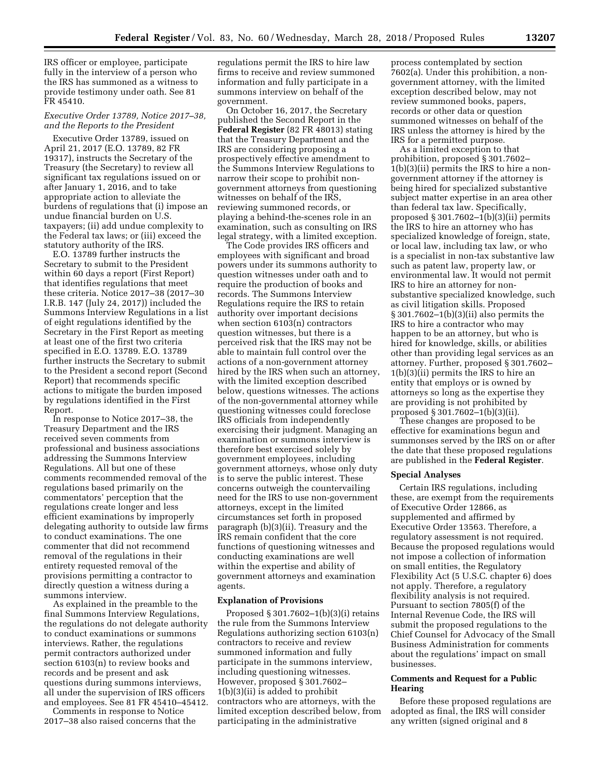IRS officer or employee, participate fully in the interview of a person who the IRS has summoned as a witness to provide testimony under oath. See 81 FR 45410.

#### *Executive Order 13789, Notice 2017–38, and the Reports to the President*

Executive Order 13789, issued on April 21, 2017 (E.O. 13789, 82 FR 19317), instructs the Secretary of the Treasury (the Secretary) to review all significant tax regulations issued on or after January 1, 2016, and to take appropriate action to alleviate the burdens of regulations that (i) impose an undue financial burden on U.S. taxpayers; (ii) add undue complexity to the Federal tax laws; or (iii) exceed the statutory authority of the IRS.

E.O. 13789 further instructs the Secretary to submit to the President within 60 days a report (First Report) that identifies regulations that meet these criteria. Notice 2017–38 (2017–30 I.R.B. 147 (July 24, 2017)) included the Summons Interview Regulations in a list of eight regulations identified by the Secretary in the First Report as meeting at least one of the first two criteria specified in E.O. 13789. E.O. 13789 further instructs the Secretary to submit to the President a second report (Second Report) that recommends specific actions to mitigate the burden imposed by regulations identified in the First Report.

In response to Notice 2017–38, the Treasury Department and the IRS received seven comments from professional and business associations addressing the Summons Interview Regulations. All but one of these comments recommended removal of the regulations based primarily on the commentators' perception that the regulations create longer and less efficient examinations by improperly delegating authority to outside law firms to conduct examinations. The one commenter that did not recommend removal of the regulations in their entirety requested removal of the provisions permitting a contractor to directly question a witness during a summons interview.

As explained in the preamble to the final Summons Interview Regulations, the regulations do not delegate authority to conduct examinations or summons interviews. Rather, the regulations permit contractors authorized under section 6103(n) to review books and records and be present and ask questions during summons interviews, all under the supervision of IRS officers and employees. See 81 FR 45410–45412.

Comments in response to Notice 2017–38 also raised concerns that the regulations permit the IRS to hire law firms to receive and review summoned information and fully participate in a summons interview on behalf of the government.

On October 16, 2017, the Secretary published the Second Report in the **Federal Register** (82 FR 48013) stating that the Treasury Department and the IRS are considering proposing a prospectively effective amendment to the Summons Interview Regulations to narrow their scope to prohibit nongovernment attorneys from questioning witnesses on behalf of the IRS, reviewing summoned records, or playing a behind-the-scenes role in an examination, such as consulting on IRS legal strategy, with a limited exception.

The Code provides IRS officers and employees with significant and broad powers under its summons authority to question witnesses under oath and to require the production of books and records. The Summons Interview Regulations require the IRS to retain authority over important decisions when section 6103(n) contractors question witnesses, but there is a perceived risk that the IRS may not be able to maintain full control over the actions of a non-government attorney hired by the IRS when such an attorney, with the limited exception described below, questions witnesses. The actions of the non-governmental attorney while questioning witnesses could foreclose IRS officials from independently exercising their judgment. Managing an examination or summons interview is therefore best exercised solely by government employees, including government attorneys, whose only duty is to serve the public interest. These concerns outweigh the countervailing need for the IRS to use non-government attorneys, except in the limited circumstances set forth in proposed paragraph (b)(3)(ii). Treasury and the IRS remain confident that the core functions of questioning witnesses and conducting examinations are well within the expertise and ability of government attorneys and examination agents.

#### **Explanation of Provisions**

Proposed § 301.7602–1(b)(3)(i) retains the rule from the Summons Interview Regulations authorizing section 6103(n) contractors to receive and review summoned information and fully participate in the summons interview, including questioning witnesses. However, proposed § 301.7602– 1(b)(3)(ii) is added to prohibit contractors who are attorneys, with the limited exception described below, from participating in the administrative

process contemplated by section 7602(a). Under this prohibition, a nongovernment attorney, with the limited exception described below, may not review summoned books, papers, records or other data or question summoned witnesses on behalf of the IRS unless the attorney is hired by the IRS for a permitted purpose.

As a limited exception to that prohibition, proposed § 301.7602– 1(b)(3)(ii) permits the IRS to hire a nongovernment attorney if the attorney is being hired for specialized substantive subject matter expertise in an area other than federal tax law. Specifically, proposed § 301.7602–1(b)(3)(ii) permits the IRS to hire an attorney who has specialized knowledge of foreign, state, or local law, including tax law, or who is a specialist in non-tax substantive law such as patent law, property law, or environmental law. It would not permit IRS to hire an attorney for nonsubstantive specialized knowledge, such as civil litigation skills. Proposed § 301.7602–1(b)(3)(ii) also permits the IRS to hire a contractor who may happen to be an attorney, but who is hired for knowledge, skills, or abilities other than providing legal services as an attorney. Further, proposed § 301.7602– 1(b)(3)(ii) permits the IRS to hire an entity that employs or is owned by attorneys so long as the expertise they are providing is not prohibited by proposed § 301.7602–1(b)(3)(ii).

These changes are proposed to be effective for examinations begun and summonses served by the IRS on or after the date that these proposed regulations are published in the **Federal Register**.

#### **Special Analyses**

Certain IRS regulations, including these, are exempt from the requirements of Executive Order 12866, as supplemented and affirmed by Executive Order 13563. Therefore, a regulatory assessment is not required. Because the proposed regulations would not impose a collection of information on small entities, the Regulatory Flexibility Act (5 U.S.C. chapter 6) does not apply. Therefore, a regulatory flexibility analysis is not required. Pursuant to section 7805(f) of the Internal Revenue Code, the IRS will submit the proposed regulations to the Chief Counsel for Advocacy of the Small Business Administration for comments about the regulations' impact on small businesses.

#### **Comments and Request for a Public Hearing**

Before these proposed regulations are adopted as final, the IRS will consider any written (signed original and 8